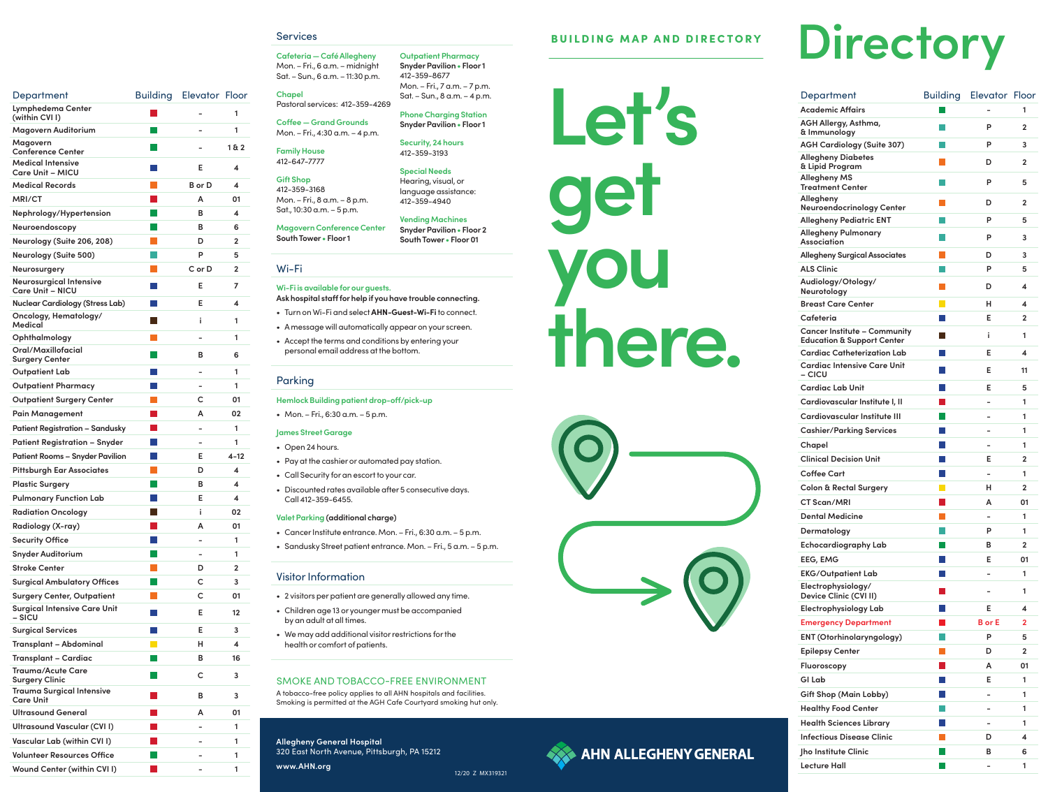**Let's get you there.**





# 12/20 Z MX319321

### SMOKE AND TOBACCO-FREE ENVIRONMENT

A tobacco-free policy applies to all AHN hospitals and facilities. Smoking is permitted at the AGH Cafe Courtyard smoking hut only.

| Department                                           | <b>Building</b> | <b>Elevator Floor</b> |          |
|------------------------------------------------------|-----------------|-----------------------|----------|
| Lymphedema Center<br>(within CVII)                   |                 |                       | 1        |
| Magovern Auditorium                                  |                 |                       | 1        |
| Magovern<br><b>Conference Center</b>                 |                 |                       | 1& 2     |
| Medical Intensive<br><b>Care Unit – MICU</b>         |                 | Е                     | 4        |
| <b>Medical Records</b>                               |                 | B or D                | 4        |
| MRI/CT                                               |                 | А                     | 01       |
| Nephrology/Hypertension                              |                 | в                     | 4        |
| Neuroendoscopy                                       |                 | в                     | 6        |
| Neurology (Suite 206, 208)                           |                 | D                     | 2        |
| <b>Neurology (Suite 500)</b>                         |                 | P                     | 5        |
| Neurosurgery                                         |                 | $C$ or $D$            | 2        |
| Neurosurgical Intensive<br><b>Care Unit - NICU</b>   |                 | Е                     | 7        |
| <b>Nuclear Cardiology (Stress Lab)</b>               |                 | Е                     | 4        |
| Oncology, Hematology/<br>Medical                     |                 | i                     | 1        |
| Ophthalmology                                        |                 |                       | 1        |
| Oral/Maxillofacial<br><b>Surgery Center</b>          |                 | в                     | 6        |
| <b>Outpatient Lab</b>                                |                 |                       | 1        |
| <b>Outpatient Pharmacy</b>                           |                 |                       | 1        |
| <b>Outpatient Surgery Center</b>                     |                 | с                     | 01       |
| Pain Management                                      |                 | А                     | 02       |
| <b>Patient Registration – Sandusky</b>               |                 |                       | 1        |
| <b>Patient Registration – Snyder</b>                 |                 |                       | 1        |
| <b>Patient Rooms - Snyder Pavilion</b>               |                 | Е                     | $4 - 12$ |
| <b>Pittsburgh Ear Associates</b>                     |                 | D                     | 4        |
| <b>Plastic Surgery</b>                               |                 | в                     | 4        |
| <b>Pulmonary Function Lab</b>                        |                 | E                     | 4        |
| <b>Radiation Oncology</b>                            |                 | i                     | 02       |
| Radiology (X-ray)                                    |                 | А                     | 01       |
| <b>Security Office</b>                               |                 |                       | 1        |
| <b>Snyder Auditorium</b>                             |                 |                       | 1        |
| <b>Stroke Center</b>                                 |                 | D                     | 2        |
| <b>Surgical Ambulatory Offices</b>                   |                 | C                     | 3        |
| <b>Surgery Center, Outpatient</b>                    |                 | с                     | 01       |
| <b>Surgical Intensive Care Unit</b><br>– SICU        |                 | Е                     | 12       |
| <b>Surgical Services</b>                             |                 | Е                     | 3        |
| Transplant - Abdominal                               |                 | н                     | 4        |
| <b>Transplant – Cardiac</b>                          |                 | в                     | 16       |
| Trauma/Acute Care<br><b>Surgery Clinic</b>           |                 | с                     | 3        |
| <b>Trauma Surgical Intensive</b><br><b>Care Unit</b> |                 | в                     | 3        |
| Ultrasound General                                   |                 | А                     | 01       |
| Ultrasound Vascular (CVII)                           |                 |                       | 1        |
| Vascular Lab (within CVI I)                          |                 |                       | 1        |
| <b>Volunteer Resources Office</b>                    |                 |                       | 1        |
| Wound Center (within CVI I)                          |                 |                       | 1        |

#### **Services**

**Allegheny General Hospital**  320 East North Avenue, Pittsburgh, PA 15212 **AGH Allergy, Asthma, AGH C Allegh Allegheng Allegh**  $Allegh$ 

**ALS Cli Audiol** 

**Cancer**<br>**Educat**  $Cardia$ 

**Cardia**<br>- CICU  $Cardia$ 

 $Cardio$ 

 $$ 

 $Colon$ 

**Cafeteria — Café Allegheny**  Mon. – Fri., 6 a.m. – midnight Sat. – Sun., 6 a.m. – 11:30 p.m. **Chapel**

Pastoral services: 412-359-4269 **Coffee — Grand Grounds** Mon. – Fri., 4:30 a.m. – 4 p.m.

**Family House** 

412-647-7777

#### **Gift Shop**  412-359-3168 Mon. – Fri., 8 a.m. – 8 p.m. Sat., 10:30 a.m. – 5 p.m.

**Magovern Conference Center South Tower • Floor 1**

**Outpatient Pharmacy Snyder Pavilion • Floor 1**

# BUILDING MAP AND DIRECTORY DI**rectory**

412-359-8677

Mon. – Fri., 7 a.m. – 7 p.m. Sat. – Sun., 8 a.m. – 4 p.m.

**Phone Charging Station Snyder Pavilion • Floor 1**

**Security, 24 hours** 412-359-3193

**Special Needs** Hearing, visual, or language assistance: 412-359-4940

**Vending Machines Snyder Pavilion • Floor 2 South Tower • Floor 01**

# Wi-Fi

# **Wi-Fi is available for our guests.**

**Ask hospital staff for help if you have trouble connecting.**

- Turn on Wi-Fi and select **AHN-Guest-Wi-Fi** to connect.
- A message will automatically appear on your screen.
- Accept the terms and conditions by entering your personal email address at the bottom.

## Parking

#### **Hemlock Building patient drop-off/pick-up**

• Mon. – Fri., 6:30 a.m. – 5 p.m.

#### **James Street Garage**

- Open 24 hours.
- Pay at the cashier or automated pay station.
- Call Security for an escort to your car.
- Discounted rates available after 5 consecutive days. Call 412-359-6455.

#### **Valet Parking (additional charge)**

- Cancer Institute entrance. Mon. Fri., 6:30 a.m. 5 p.m.
- Sandusky Street patient entrance. Mon. Fri., 5 a.m. 5 p.m.

#### Visitor Information

- 2 visitors per patient are generally allowed any time.
- Children age 13 or younger must be accompanied by an adult at all times.
- We may add additional visitor restrictions for the health or comfort of patients.

| Department                                                                   | <b>Building</b> | <b>Elevator Floor</b> |    |
|------------------------------------------------------------------------------|-----------------|-----------------------|----|
| <b>Academic Affairs</b>                                                      |                 |                       | 1  |
| AGH Allergy, Asthma,<br>& Immunology                                         |                 | P                     | 2  |
| <b>AGH Cardiology (Suite 307)</b>                                            |                 | P                     | 3  |
| <b>Allegheny Diabetes</b><br>& Lipid Program                                 |                 | D                     | 2  |
| <b>Allegheny MS</b><br><b>Treatment Center</b>                               |                 | P                     | 5  |
| Allegheny<br>Neuroendocrinology Center                                       |                 | D                     | 2  |
| <b>Allegheny Pediatric ENT</b>                                               |                 | P                     | 5  |
| <b>Allegheny Pulmonary</b><br>Association                                    |                 | P                     | 3  |
| <b>Allegheny Surgical Associates</b>                                         |                 | D                     | 3  |
| <b>ALS Clinic</b>                                                            |                 | P                     | 5  |
| Audiology/Otology/<br>Neurotology                                            |                 | D                     | 4  |
| <b>Breast Care Center</b>                                                    |                 | н                     | 4  |
| Cafeteria                                                                    |                 | Е                     | 2  |
| <b>Cancer Institute - Community</b><br><b>Education &amp; Support Center</b> |                 | i                     | 1  |
| <b>Cardiac Catheterization Lab</b>                                           |                 | E                     | 4  |
| Cardiac Intensive Care Unit<br>– CICU                                        |                 | F                     | 11 |
| Cardiac Lab Unit                                                             |                 | Е                     | 5  |
| Cardiovascular Institute I, II                                               |                 |                       | 1  |
| Cardiovascular Institute III                                                 |                 |                       | 1  |
| <b>Cashier/Parking Services</b>                                              |                 |                       | 1  |
| Chapel                                                                       |                 |                       | 1  |
| <b>Clinical Decision Unit</b>                                                |                 | Е                     | 2  |
| <b>Coffee Cart</b>                                                           |                 |                       | 1  |
| <b>Colon &amp; Rectal Surgery</b>                                            |                 | н                     | 2  |
| CT Scan/MRI                                                                  |                 | А                     | 01 |
| <b>Dental Medicine</b>                                                       |                 |                       | 1  |
| Dermatology                                                                  |                 | P                     | 1  |
| <b>Echocardiography Lab</b>                                                  |                 | в                     | 2  |
| EEG, EMG                                                                     |                 | Е                     | 01 |
| <b>EKG/Outpatient Lab</b>                                                    |                 |                       | 1  |
| Electrophysiology/<br>Device Clinic (CVI II)                                 |                 |                       | 1  |
| Electrophysiology Lab                                                        |                 | E                     | 4  |
| <b>Emergency Department</b>                                                  |                 | <b>B</b> or E         | 2  |
| ENT (Otorhinolaryngology)                                                    |                 | P                     | 5  |
| <b>Epilepsy Center</b>                                                       |                 | D                     | 2  |
| Fluoroscopy                                                                  |                 | A                     | 01 |
| GI Lab                                                                       |                 | Е                     | 1  |
| Gift Shop (Main Lobby)                                                       |                 |                       | 1  |
| <b>Healthy Food Center</b>                                                   |                 |                       | 1  |
| <b>Health Sciences Library</b>                                               |                 |                       | 1  |
| Infectious Disease Clinic                                                    |                 | D                     | 4  |
| Jho Institute Clinic                                                         |                 | в                     | 6  |
| Lecture Hall                                                                 |                 |                       | 1  |